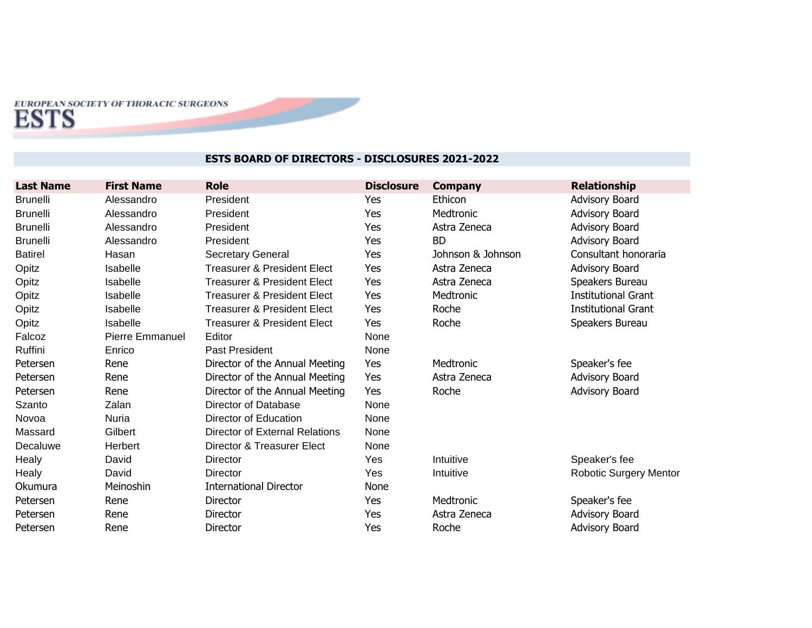## EUROPEAN SOCIETY OF THORACIC SURGEONS **ESTS**

## **ESTS BOARD OF DIRECTORS - DISCLOSURES 2021-2022**

| <b>Last Name</b> | <b>First Name</b>      | <b>Role</b>                            | <b>Disclosure</b> | <b>Company</b>    | <b>Relationship</b>        |
|------------------|------------------------|----------------------------------------|-------------------|-------------------|----------------------------|
| <b>Brunelli</b>  | Alessandro             | President                              | Yes               | Ethicon           | Advisory Board             |
| <b>Brunelli</b>  | Alessandro             | President                              | Yes               | Medtronic         | Advisory Board             |
| <b>Brunelli</b>  | Alessandro             | President                              | Yes               | Astra Zeneca      | Advisory Board             |
| <b>Brunelli</b>  | Alessandro             | President                              | Yes               | BD.               | Advisory Board             |
| <b>Batirel</b>   | Hasan                  | <b>Secretary General</b>               | Yes               | Johnson & Johnson | Consultant honoraria       |
| Opitz            | Isabelle               | <b>Treasurer &amp; President Elect</b> | Yes               | Astra Zeneca      | Advisory Board             |
| Opitz            | Isabelle               | <b>Treasurer &amp; President Elect</b> | Yes               | Astra Zeneca      | Speakers Bureau            |
| Opitz            | Isabelle               | <b>Treasurer &amp; President Elect</b> | Yes               | Medtronic         | <b>Institutional Grant</b> |
| Opitz            | Isabelle               | <b>Treasurer &amp; President Elect</b> | Yes               | Roche             | <b>Institutional Grant</b> |
| Opitz            | Isabelle               | <b>Treasurer &amp; President Elect</b> | Yes               | Roche             | Speakers Bureau            |
| Falcoz           | <b>Pierre Emmanuel</b> | Editor                                 | None              |                   |                            |
| Ruffini          | Enrico                 | Past President                         | None              |                   |                            |
| Petersen         | Rene                   | Director of the Annual Meeting         | Yes               | Medtronic         | Speaker's fee              |
| Petersen         | Rene                   | Director of the Annual Meeting         | Yes               | Astra Zeneca      | <b>Advisory Board</b>      |
| Petersen         | Rene                   | Director of the Annual Meeting         | Yes               | Roche             | Advisory Board             |
| Szanto           | Zalan                  | Director of Database                   | None              |                   |                            |
| Novoa            | <b>Nuria</b>           | Director of Education                  | None              |                   |                            |
| Massard          | Gilbert                | Director of External Relations         | None              |                   |                            |
| Decaluwe         | Herbert                | Director & Treasurer Elect             | None              |                   |                            |
| Healy            | David                  | Director                               | Yes               | Intuitive         | Speaker's fee              |
| Healy            | David                  | <b>Director</b>                        | Yes               | Intuitive         | Robotic Surgery Mentor     |
| Okumura          | Meinoshin              | <b>International Director</b>          | None              |                   |                            |
| Petersen         | Rene                   | Director                               | Yes               | Medtronic         | Speaker's fee              |
| Petersen         | Rene                   | Director                               | Yes               | Astra Zeneca      | Advisory Board             |
| Petersen         | Rene                   | Director                               | Yes               | Roche             | <b>Advisory Board</b>      |